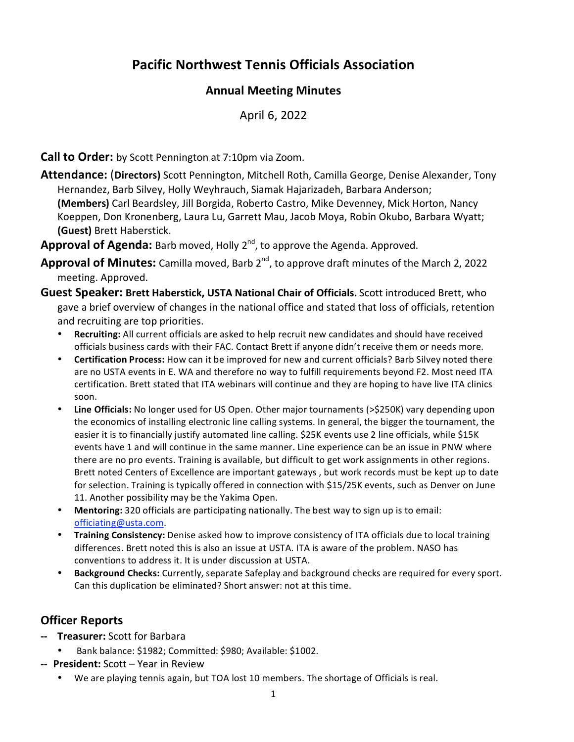# **Pacific Northwest Tennis Officials Association**

### **Annual Meeting Minutes**

April 6, 2022

**Call to Order:** by Scott Pennington at 7:10pm via Zoom.

**Attendance:** (**Directors)** Scott Pennington, Mitchell Roth, Camilla George, Denise Alexander, Tony Hernandez, Barb Silvey, Holly Weyhrauch, Siamak Hajarizadeh, Barbara Anderson; **(Members)** Carl Beardsley, Jill Borgida, Roberto Castro, Mike Devenney, Mick Horton, Nancy Koeppen, Don Kronenberg, Laura Lu, Garrett Mau, Jacob Moya, Robin Okubo, Barbara Wyatt; **(Guest)** Brett Haberstick.

Approval of Agenda: Barb moved, Holly 2<sup>nd</sup>, to approve the Agenda. Approved.

- Approval of Minutes: Camilla moved, Barb 2<sup>nd</sup>, to approve draft minutes of the March 2, 2022 meeting. Approved.
- **Guest Speaker: Brett Haberstick, USTA National Chair of Officials.** Scott introduced Brett, who gave a brief overview of changes in the national office and stated that loss of officials, retention and recruiting are top priorities.
	- **Recruiting:** All current officials are asked to help recruit new candidates and should have received officials business cards with their FAC. Contact Brett if anyone didn't receive them or needs more.
	- **Certification Process:** How can it be improved for new and current officials? Barb Silvey noted there are no USTA events in E. WA and therefore no way to fulfill requirements beyond F2. Most need ITA certification. Brett stated that ITA webinars will continue and they are hoping to have live ITA clinics soon.
	- **Line Officials:** No longer used for US Open. Other major tournaments (>\$250K) vary depending upon the economics of installing electronic line calling systems. In general, the bigger the tournament, the easier it is to financially justify automated line calling. \$25K events use 2 line officials, while \$15K events have 1 and will continue in the same manner. Line experience can be an issue in PNW where there are no pro events. Training is available, but difficult to get work assignments in other regions. Brett noted Centers of Excellence are important gateways , but work records must be kept up to date for selection. Training is typically offered in connection with \$15/25K events, such as Denver on June 11. Another possibility may be the Yakima Open.
	- **Mentoring:** 320 officials are participating nationally. The best way to sign up is to email: officiating@usta.com.
	- **Training Consistency:** Denise asked how to improve consistency of ITA officials due to local training differences. Brett noted this is also an issue at USTA. ITA is aware of the problem. NASO has conventions to address it. It is under discussion at USTA.
	- **Background Checks:** Currently, separate Safeplay and background checks are required for every sport. Can this duplication be eliminated? Short answer: not at this time.

## **Officer Reports**

- **‐‐ Treasurer:** Scott for Barbara
	- Bank balance: \$1982; Committed: \$980; Available: \$1002.
- **‐‐ President:** Scott Year in Review
	- We are playing tennis again, but TOA lost 10 members. The shortage of Officials is real.